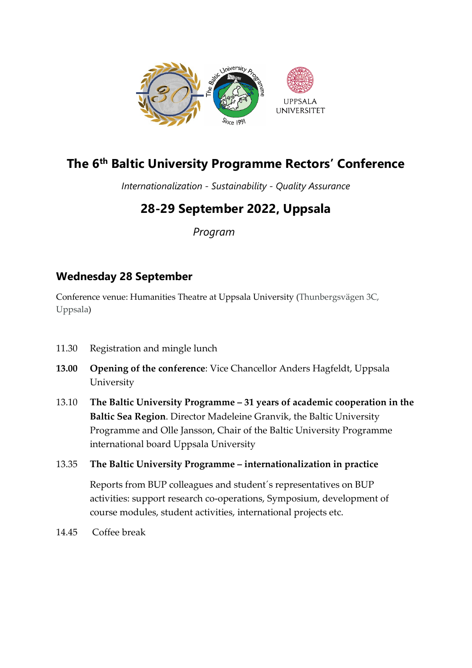

# **The 6th Baltic University Programme Rectors' Conference**

*Internationalization - Sustainability - Quality Assurance*

# **28-29 September 2022, Uppsala**

 *Program*

# **Wednesday 28 September**

Conference venue: Humanities Theatre at Uppsala University (Thunbergsvägen 3C, Uppsala)

- 11.30 Registration and mingle lunch
- **13.00 Opening of the conference**: Vice Chancellor Anders Hagfeldt, Uppsala University
- 13.10 **The Baltic University Programme 31 years of academic cooperation in the Baltic Sea Region**. Director Madeleine Granvik, the Baltic University Programme and Olle Jansson, Chair of the Baltic University Programme international board Uppsala University
- 13.35 **The Baltic University Programme internationalization in practice**

 Reports from BUP colleagues and student´s representatives on BUP activities: support research co-operations, Symposium, development of course modules, student activities, international projects etc.

14.45 Coffee break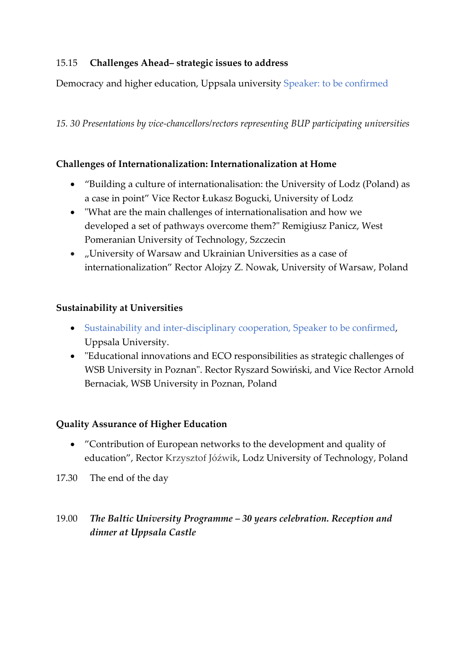### 15.15 **Challenges Ahead– strategic issues to address**

Democracy and higher education, Uppsala university Speaker: to be confirmed

*15. 30 Presentations by vice-chancellors/rectors representing BUP participating universities*

### **Challenges of Internationalization: Internationalization at Home**

- "Building a culture of internationalisation: the University of Lodz (Poland) as a case in point" Vice Rector Łukasz Bogucki, University of Lodz
- "What are the main challenges of internationalisation and how we developed a set of pathways overcome them?" Remigiusz Panicz, West Pomeranian University of Technology, Szczecin
- "University of Warsaw and Ukrainian Universities as a case of internationalization" Rector Alojzy Z. Nowak, University of Warsaw, Poland

### **Sustainability at Universities**

- Sustainability and inter-disciplinary cooperation, Speaker to be confirmed, Uppsala University.
- "Educational innovations and ECO responsibilities as strategic challenges of WSB University in Poznan". Rector Ryszard Sowiński, and Vice Rector Arnold Bernaciak, WSB University in Poznan, Poland

#### **Quality Assurance of Higher Education**

- "Contribution of European networks to the development and quality of education", Rector Krzysztof Jóźwik, Lodz University of Technology, Poland
- 17.30 The end of the day

## 19.00 *The Baltic University Programme – 30 years celebration. Reception and dinner at Uppsala Castle*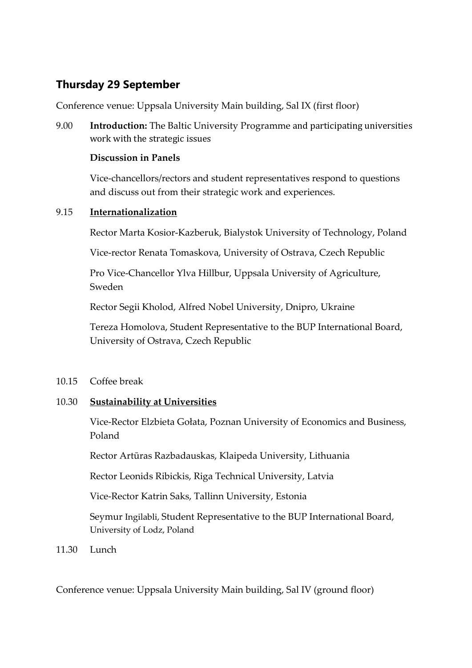# **Thursday 29 September**

Conference venue: Uppsala University Main building, Sal IX (first floor)

9.00 **Introduction:** The Baltic University Programme and participating universities work with the strategic issues

### **Discussion in Panels**

Vice-chancellors/rectors and student representatives respond to questions and discuss out from their strategic work and experiences.

### 9.15 **Internationalization**

Rector Marta Kosior-Kazberuk, Bialystok University of Technology, Poland

Vice-rector Renata Tomaskova, University of Ostrava, Czech Republic

Pro Vice-Chancellor Ylva Hillbur, Uppsala University of Agriculture, Sweden

Rector Segii Kholod, Alfred Nobel University, Dnipro, Ukraine

Tereza Homolova, Student Representative to the BUP International Board, University of Ostrava, Czech Republic

10.15 Coffee break

### 10.30 **Sustainability at Universities**

Vice-Rector Elzbieta Gołata, Poznan University of Economics and Business, Poland

Rector Artūras Razbadauskas, Klaipeda University, Lithuania

Rector Leonids Ribickis, Riga Technical University, Latvia

Vice-Rector Katrin Saks, Tallinn University, Estonia

Seymur Ingilabli, Student Representative to the BUP International Board, University of Lodz, Poland

11.30 Lunch

Conference venue: Uppsala University Main building, Sal IV (ground floor)